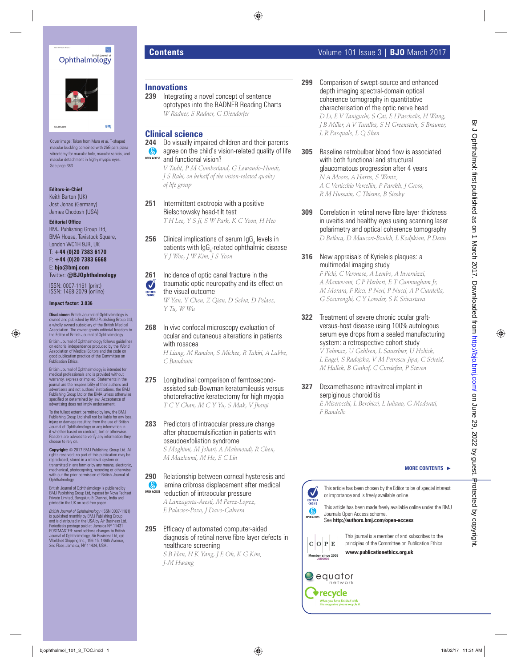



Cover image: Taken from Mura *et al.* T-shaped macular buckling combined with 25G pars plana vitrectomy for macular hole, macular schisis, and macular detachment in highly myopic eyes. See page 383

#### **Editors-in-Chief**

Keith Barton (UK) Jost Jonas (Germany) James Chodosh (USA)

#### **Editorial Office**

BMJ Publishing Group Ltd, BMA House, Tavistock Square, London WC1H 9JR, UK

T: **+44 (0)20 7383 6170** F: **+44 (0)20 7383 6668**

E: **bjo@bmj.com** Twitter: **@BJOphthalmology**

ISSN: 0007-1161 (print) ISSN: 1468-2079 (online)

#### **Impact factor: 3.036**

**Disclaimer:** British Journal of Ophthalmology is owned and published by BMJ Publishing Group Ltd, a wholly owned subsidiary of the British Medical Association. The owner grants editorial freedom to the Editor of British Journal of Ophthalmology.

British Journal of Ophthalmology follows guidelin on editorial independence produced by the World Association of Medical Editors and the code on good publication practice of the Committee on Publication Ethics.

British Journal of Ophthalmology is intended for medical professionals and is provided without warranty, express or implied. Statements in the journal are the responsibility of their authors and advertisers and not authors' institutions, the BMJ Publishing Group Ltd or the BMA unless otherwise specified or determined by law. Acceptance of<br>advertising does not imply endorsement.

To the fullest extent permitted by law, the BMJ Publishing Group Ltd shall not be liable for any loss, injury or damage resulting from the use of British Journal of Ophthalmology or any information in it whether based on contract, tort or otherwise. Readers are advised to verify any information they choose to rely on.

**Copyright:** © 2017 BMJ Publishing Group Ltd. All rights reserved; no part of this publication may be reproduced, stored in a retrieval system or transmitted in any form or by any means, electronic, mechanical, photocopying, recording or otherwise with out the prior permission of British Journal of Ophthalmology.

British Journal of Ophthalmology is published by BMJ Publishing Group Ltd, typeset by Nova Techset Private Limited, Bengaluru & Chennai, India and printed in the UK on acid-free paper.

*British Journal of Ophthalmology (ISSN 0007-1161)*<br>is published monthly by BMJ Publishing Group<br>and is distributed in the USA by Air Business Ltd. Periodicals postage paid at Jamaica NY 11431 POSTMASTER: send address changes to British Journal of Ophthalmology, Air Business Ltd, c/o Worldnet Shipping Inc., 156-15, 146th Avenue, 2nd Floor, Jamaica, NY 11434, USA .

# **Innovations**

 **239** Integrating a novel concept of sentence optotypes into the RADNER Reading Charts  *W Radner, S Radner, G Diendorfer* 

# **Clinical science**

 **244** Do visually impaired children and their parents **a** agree on the child's vision-related quality of life and functional vision? **OPEN ACCESS**

 *V Tadic´, P M Cumberland, G Lewando-Hundt, J S Rahi, on behalf of the vision-related quality of life group* 

- **251** Intermittent exotropia with a positive Bielschowsky head-tilt test  *T H Lee, Y S Ji, S W Park, K C Yoon, H Heo*
- **256** Clinical implications of serum  $\log G_4$  levels in patients with IgG<sub>4</sub>-related ophthalmic disease  *Y J Woo, J W Kim, J S Yoon*

 **261** Incidence of optic canal fracture in the traumatic optic neuropathy and its effect on the visual outcome  *W Yan, Y Chen, Z Qian, D Selva, D Pelaez, Y Tu, W Wu* 

**268** In vivo confocal microscopy evaluation of ocular and cutaneous alterations in patients with rosacea

 *H Liang, M Randon, S Michee, R Tahiri, A Labbe, C Baudouin* 

- **275** Longitudinal comparison of femtosecondassisted sub-Bowman keratomileusis versus photorefractive keratectomy for high myopia  *T C Y Chan, M C Y Yu, S Mak, V Jhanji*
- **283** Predictors of intraocular pressure change after phacoemulsification in patients with pseudoexfoliation syndrome

 *S Moghimi, M Johari, A Mahmoudi, R Chen, M Mazloumi, M He, S C Lin* 

# **290** Relationship between corneal hysteresis and lamina cribrosa displacement after medical

reduction of intraocular pressure **OPEN ACCESS**

> *A Lanzagorta-Aresti, M Perez-Lopez, E Palacios-Pozo, J Davo-Cabrera*

**295** Efficacy of automated computer-aided diagnosis of retinal nerve fibre layer defects in healthcare screening

 *S B Han, H K Yang, J E Oh, K G Kim, J-M Hwang* 

 **299** Comparison of swept-source and enhanced depth imaging spectral-domain optical coherence tomography in quantitative characterisation of the optic nerve head  *D Li, E V Taniguchi, S Cai, E I Paschalis, H Wang, J B Miller, A V Turalba, S H Greenstein, S Brauner,* 

*L R Pasquale, L Q Shen* 

# **305** Baseline retrobulbar blood flow is associated with both functional and structural glaucomatous progression after 4 years

 *N A Moore, A Harris, S Wentz, A C Verticchio Vercellin, P Parekh, J Gross, R M Hussain, C Thieme, B Siesky* 

- **309** Correlation in retinal nerve fibre layer thickness in uveitis and healthy eyes using scanning laser polarimetry and optical coherence tomography  *D Bellocq, D Maucort-Boulch, L Kodjikian, P Denis*
- **316** New appraisals of Kyrieleis plaques: a multimodal imaging study

 *F Pichi, C Veronese, A Lembo, A Invernizzi, A Mantovani, C P Herbort, E T Cunningham Jr , M Morara, F Ricci, P Neri, P Nucci, A P Ciardella, G Staurenghi, C Y Lowder, S K Srivastava* 

 **322** Treatment of severe chronic ocular graftversus-host disease using 100% autologous serum eye drops from a sealed manufacturing system: a retrospective cohort study  *V Tahmaz, U Gehlsen, L Sauerbier, U Holtick,*  **by photographs of the state of the state of the state of the state of the state of the state of the state of the state of the state of the state of the state of the state of the state of the state of the state of the st** 

*L Engel, S Radojska, V-M Petrescu-Jipa, C Scheid, M Hallek, B Gathof, C Cursiefen, P Steven* 

**327** Dexamethasone intravitreal implant in serpiginous choroiditis  *E Miserocchi, L Berchicci, L Iuliano, G Modorati,* 

*F Bandello* 

#### **MORE CONTENTS** -

This article has been chosen by the Editor to be of special interest or importance and is freely available online.

**OPEN ACCESS** This article has been made freely available online under the BMJ Journals Open Access scheme. See **http://authors.bmj.com/open-access**



This journal is a member of and subscribes to the principles of the Committee on Publication Ethics **www.publicationethics.org.uk**